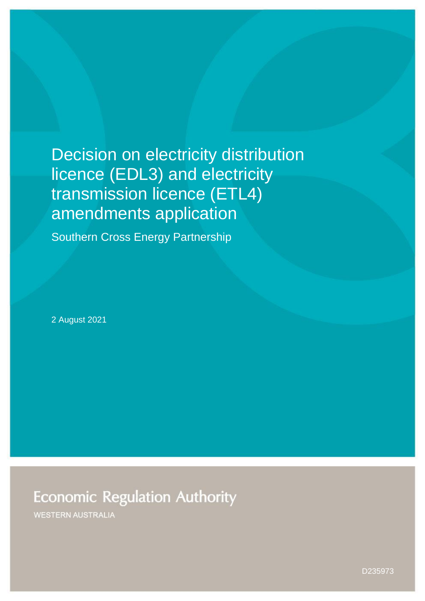# Decision on electricity distribution licence (EDL3) and electricity transmission licence (ETL4) amendments application

Southern Cross Energy Partnership

2 August 2021

**Economic Regulation Authority** 

**WESTERN AUSTRALIA**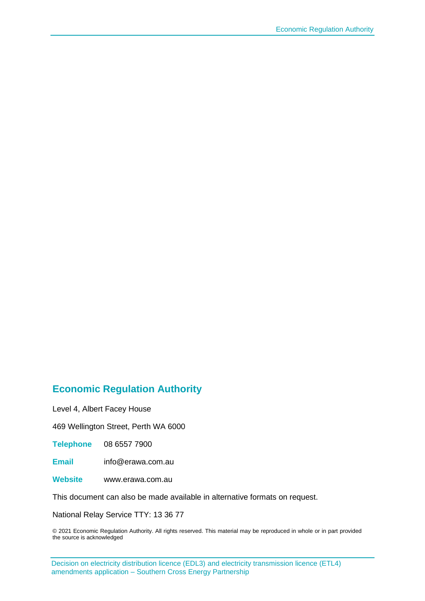#### **Economic Regulation Authority**

Level 4, Albert Facey House

469 Wellington Street, Perth WA 6000

**Telephone** 08 6557 7900

**Email** info@erawa.com.au

**Website** www.erawa.com.au

This document can also be made available in alternative formats on request.

National Relay Service TTY: 13 36 77

© 2021 Economic Regulation Authority. All rights reserved. This material may be reproduced in whole or in part provided the source is acknowledged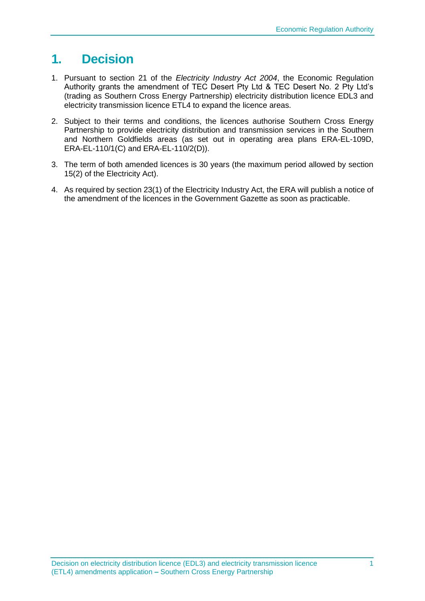## **1. Decision**

- 1. Pursuant to section 21 of the *Electricity Industry Act 2004*, the Economic Regulation Authority grants the amendment of TEC Desert Pty Ltd & TEC Desert No. 2 Pty Ltd's (trading as Southern Cross Energy Partnership) electricity distribution licence EDL3 and electricity transmission licence ETL4 to expand the licence areas.
- 2. Subject to their terms and conditions, the licences authorise Southern Cross Energy Partnership to provide electricity distribution and transmission services in the Southern and Northern Goldfields areas (as set out in operating area plans ERA-EL-109D, ERA-EL-110/1(C) and ERA-EL-110/2(D)).
- 3. The term of both amended licences is 30 years (the maximum period allowed by section 15(2) of the Electricity Act).
- 4. As required by section 23(1) of the Electricity Industry Act, the ERA will publish a notice of the amendment of the licences in the Government Gazette as soon as practicable.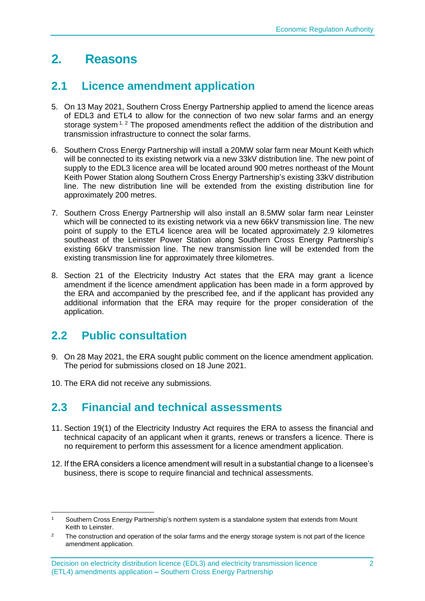# **2. Reasons**

#### **2.1 Licence amendment application**

- 5. On 13 May 2021, Southern Cross Energy Partnership applied to amend the licence areas of EDL3 and ETL4 to allow for the connection of two new solar farms and an energy storage system<sup>-1, 2</sup> The proposed amendments reflect the addition of the distribution and transmission infrastructure to connect the solar farms.
- 6. Southern Cross Energy Partnership will install a 20MW solar farm near Mount Keith which will be connected to its existing network via a new 33kV distribution line. The new point of supply to the EDL3 licence area will be located around 900 metres northeast of the Mount Keith Power Station along Southern Cross Energy Partnership's existing 33kV distribution line. The new distribution line will be extended from the existing distribution line for approximately 200 metres.
- 7. Southern Cross Energy Partnership will also install an 8.5MW solar farm near Leinster which will be connected to its existing network via a new 66kV transmission line. The new point of supply to the ETL4 licence area will be located approximately 2.9 kilometres southeast of the Leinster Power Station along Southern Cross Energy Partnership's existing 66kV transmission line. The new transmission line will be extended from the existing transmission line for approximately three kilometres.
- 8. Section 21 of the Electricity Industry Act states that the ERA may grant a licence amendment if the licence amendment application has been made in a form approved by the ERA and accompanied by the prescribed fee, and if the applicant has provided any additional information that the ERA may require for the proper consideration of the application.

### **2.2 Public consultation**

- 9. On 28 May 2021, the ERA sought public comment on the licence amendment application. The period for submissions closed on 18 June 2021.
- 10. The ERA did not receive any submissions.

### **2.3 Financial and technical assessments**

- 11. Section 19(1) of the Electricity Industry Act requires the ERA to assess the financial and technical capacity of an applicant when it grants, renews or transfers a licence. There is no requirement to perform this assessment for a licence amendment application.
- 12. If the ERA considers a licence amendment will result in a substantial change to a licensee's business, there is scope to require financial and technical assessments.

Southern Cross Energy Partnership's northern system is a standalone system that extends from Mount Keith to Leinster.

<sup>&</sup>lt;sup>2</sup> The construction and operation of the solar farms and the energy storage system is not part of the licence amendment application.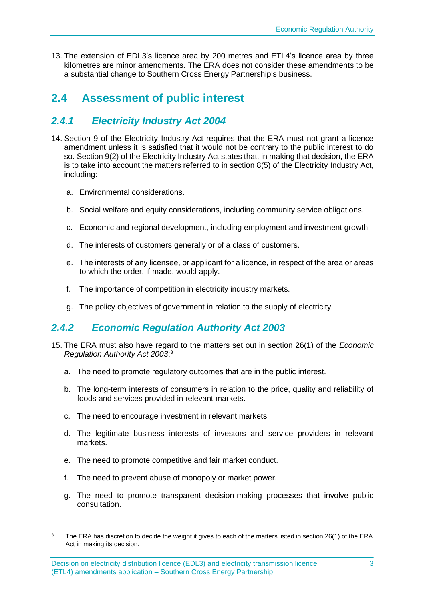13. The extension of EDL3's licence area by 200 metres and ETL4's licence area by three kilometres are minor amendments. The ERA does not consider these amendments to be a substantial change to Southern Cross Energy Partnership's business.

### **2.4 Assessment of public interest**

#### *2.4.1 Electricity Industry Act 2004*

- 14. Section 9 of the Electricity Industry Act requires that the ERA must not grant a licence amendment unless it is satisfied that it would not be contrary to the public interest to do so. Section 9(2) of the Electricity Industry Act states that, in making that decision, the ERA is to take into account the matters referred to in section 8(5) of the Electricity Industry Act, including:
	- a. Environmental considerations.
	- b. Social welfare and equity considerations, including community service obligations.
	- c. Economic and regional development, including employment and investment growth.
	- d. The interests of customers generally or of a class of customers.
	- e. The interests of any licensee, or applicant for a licence, in respect of the area or areas to which the order, if made, would apply.
	- f. The importance of competition in electricity industry markets.
	- g. The policy objectives of government in relation to the supply of electricity.

#### *2.4.2 Economic Regulation Authority Act 2003*

- 15. The ERA must also have regard to the matters set out in section 26(1) of the *Economic Regulation Authority Act 2003*: 3
	- a. The need to promote regulatory outcomes that are in the public interest.
	- b. The long-term interests of consumers in relation to the price, quality and reliability of foods and services provided in relevant markets.
	- c. The need to encourage investment in relevant markets.
	- d. The legitimate business interests of investors and service providers in relevant markets.
	- e. The need to promote competitive and fair market conduct.
	- f. The need to prevent abuse of monopoly or market power.
	- g. The need to promote transparent decision-making processes that involve public consultation.

<sup>&</sup>lt;sup>3</sup> The ERA has discretion to decide the weight it gives to each of the matters listed in section 26(1) of the ERA Act in making its decision.